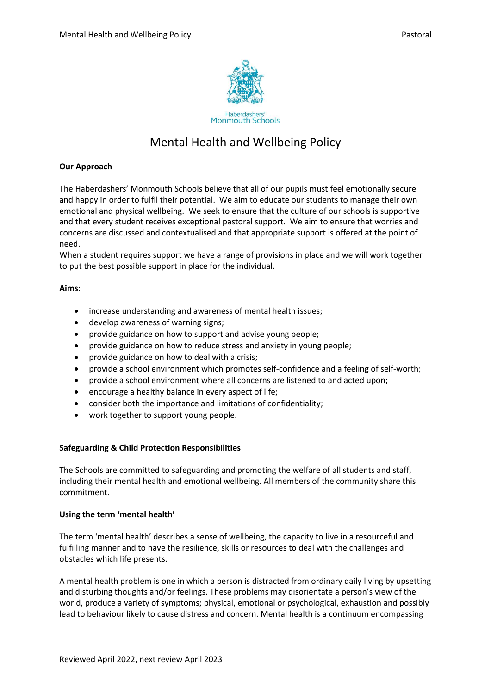

# Mental Health and Wellbeing Policy

### **Our Approach**

The Haberdashers' Monmouth Schools believe that all of our pupils must feel emotionally secure and happy in order to fulfil their potential. We aim to educate our students to manage their own emotional and physical wellbeing. We seek to ensure that the culture of our schools is supportive and that every student receives exceptional pastoral support. We aim to ensure that worries and concerns are discussed and contextualised and that appropriate support is offered at the point of need.

When a student requires support we have a range of provisions in place and we will work together to put the best possible support in place for the individual.

### **Aims:**

- increase understanding and awareness of mental health issues;
- develop awareness of warning signs;
- provide guidance on how to support and advise young people;
- provide guidance on how to reduce stress and anxiety in young people;
- provide guidance on how to deal with a crisis;
- provide a school environment which promotes self-confidence and a feeling of self-worth;
- provide a school environment where all concerns are listened to and acted upon;
- encourage a healthy balance in every aspect of life;
- consider both the importance and limitations of confidentiality;
- work together to support young people.

### **Safeguarding & Child Protection Responsibilities**

The Schools are committed to safeguarding and promoting the welfare of all students and staff, including their mental health and emotional wellbeing. All members of the community share this commitment.

### **Using the term 'mental health'**

The term 'mental health' describes a sense of wellbeing, the capacity to live in a resourceful and fulfilling manner and to have the resilience, skills or resources to deal with the challenges and obstacles which life presents.

A mental health problem is one in which a person is distracted from ordinary daily living by upsetting and disturbing thoughts and/or feelings. These problems may disorientate a person's view of the world, produce a variety of symptoms; physical, emotional or psychological, exhaustion and possibly lead to behaviour likely to cause distress and concern. Mental health is a continuum encompassing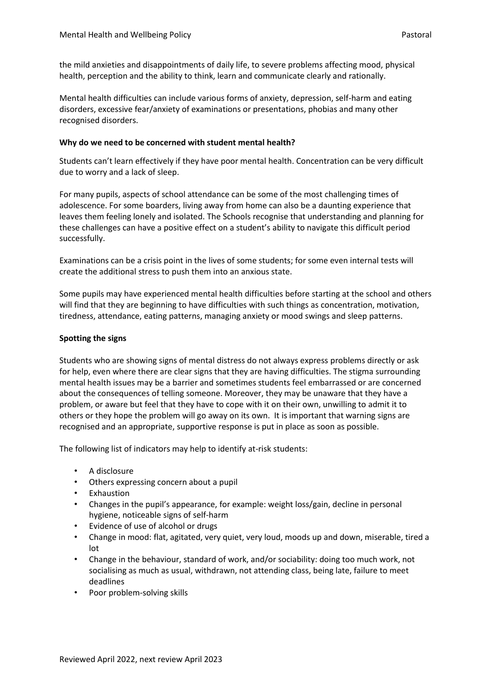the mild anxieties and disappointments of daily life, to severe problems affecting mood, physical health, perception and the ability to think, learn and communicate clearly and rationally.

Mental health difficulties can include various forms of anxiety, depression, self-harm and eating disorders, excessive fear/anxiety of examinations or presentations, phobias and many other recognised disorders.

### **Why do we need to be concerned with student mental health?**

Students can't learn effectively if they have poor mental health. Concentration can be very difficult due to worry and a lack of sleep.

For many pupils, aspects of school attendance can be some of the most challenging times of adolescence. For some boarders, living away from home can also be a daunting experience that leaves them feeling lonely and isolated. The Schools recognise that understanding and planning for these challenges can have a positive effect on a student's ability to navigate this difficult period successfully.

Examinations can be a crisis point in the lives of some students; for some even internal tests will create the additional stress to push them into an anxious state.

Some pupils may have experienced mental health difficulties before starting at the school and others will find that they are beginning to have difficulties with such things as concentration, motivation, tiredness, attendance, eating patterns, managing anxiety or mood swings and sleep patterns.

### **Spotting the signs**

Students who are showing signs of mental distress do not always express problems directly or ask for help, even where there are clear signs that they are having difficulties. The stigma surrounding mental health issues may be a barrier and sometimes students feel embarrassed or are concerned about the consequences of telling someone. Moreover, they may be unaware that they have a problem, or aware but feel that they have to cope with it on their own, unwilling to admit it to others or they hope the problem will go away on its own. It is important that warning signs are recognised and an appropriate, supportive response is put in place as soon as possible.

The following list of indicators may help to identify at-risk students:

- A disclosure
- Others expressing concern about a pupil
- Exhaustion
- Changes in the pupil's appearance, for example: weight loss/gain, decline in personal hygiene, noticeable signs of self-harm
- Evidence of use of alcohol or drugs
- Change in mood: flat, agitated, very quiet, very loud, moods up and down, miserable, tired a lot
- Change in the behaviour, standard of work, and/or sociability: doing too much work, not socialising as much as usual, withdrawn, not attending class, being late, failure to meet deadlines
- Poor problem-solving skills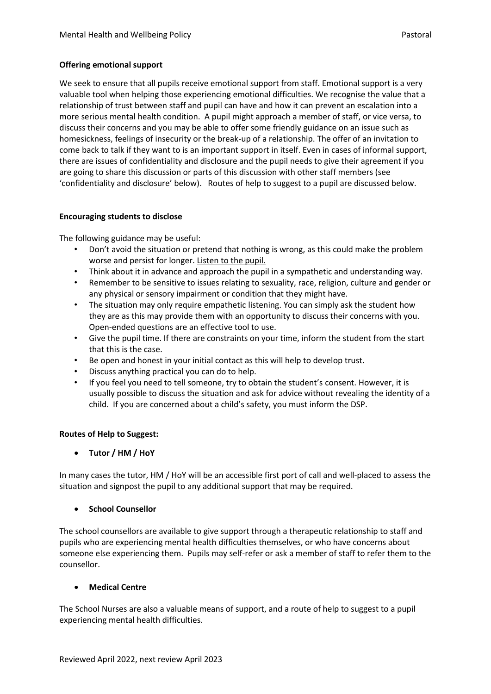### **Offering emotional support**

We seek to ensure that all pupils receive emotional support from staff. Emotional support is a very valuable tool when helping those experiencing emotional difficulties. We recognise the value that a relationship of trust between staff and pupil can have and how it can prevent an escalation into a more serious mental health condition. A pupil might approach a member of staff, or vice versa, to discuss their concerns and you may be able to offer some friendly guidance on an issue such as homesickness, feelings of insecurity or the break-up of a relationship. The offer of an invitation to come back to talk if they want to is an important support in itself. Even in cases of informal support, there are issues of confidentiality and disclosure and the pupil needs to give their agreement if you are going to share this discussion or parts of this discussion with other staff members (see 'confidentiality and disclosure' below). Routes of help to suggest to a pupil are discussed below.

### **Encouraging students to disclose**

The following guidance may be useful:

- Don't avoid the situation or pretend that nothing is wrong, as this could make the problem worse and persist for longer. Listen to the pupil.
- Think about it in advance and approach the pupil in a sympathetic and understanding way.
- Remember to be sensitive to issues relating to sexuality, race, religion, culture and gender or any physical or sensory impairment or condition that they might have.
- The situation may only require empathetic listening. You can simply ask the student how they are as this may provide them with an opportunity to discuss their concerns with you. Open-ended questions are an effective tool to use.
- Give the pupil time. If there are constraints on your time, inform the student from the start that this is the case.
- Be open and honest in your initial contact as this will help to develop trust.
- Discuss anything practical you can do to help.
- If you feel you need to tell someone, try to obtain the student's consent. However, it is usually possible to discuss the situation and ask for advice without revealing the identity of a child. If you are concerned about a child's safety, you must inform the DSP.

## **Routes of Help to Suggest:**

• **Tutor / HM / HoY**

In many cases the tutor, HM / HoY will be an accessible first port of call and well-placed to assess the situation and signpost the pupil to any additional support that may be required.

### • **School Counsellor**

The school counsellors are available to give support through a therapeutic relationship to staff and pupils who are experiencing mental health difficulties themselves, or who have concerns about someone else experiencing them. Pupils may self-refer or ask a member of staff to refer them to the counsellor.

### • **Medical Centre**

The School Nurses are also a valuable means of support, and a route of help to suggest to a pupil experiencing mental health difficulties.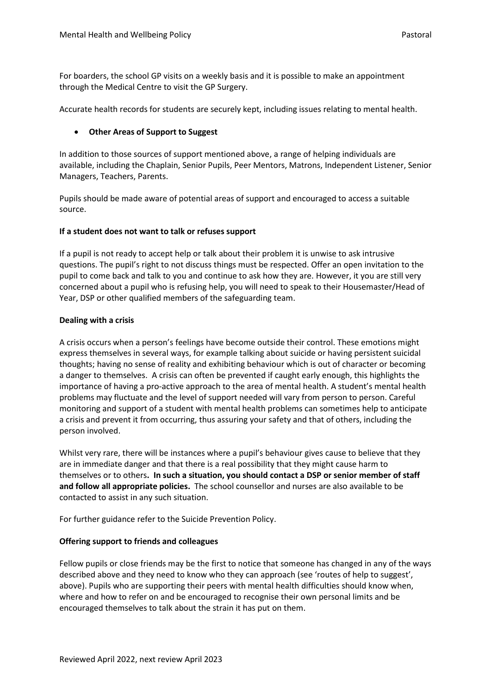For boarders, the school GP visits on a weekly basis and it is possible to make an appointment through the Medical Centre to visit the GP Surgery.

Accurate health records for students are securely kept, including issues relating to mental health.

### • **Other Areas of Support to Suggest**

In addition to those sources of support mentioned above, a range of helping individuals are available, including the Chaplain, Senior Pupils, Peer Mentors, Matrons, Independent Listener, Senior Managers, Teachers, Parents.

Pupils should be made aware of potential areas of support and encouraged to access a suitable source.

### **If a student does not want to talk or refuses support**

If a pupil is not ready to accept help or talk about their problem it is unwise to ask intrusive questions. The pupil's right to not discuss things must be respected. Offer an open invitation to the pupil to come back and talk to you and continue to ask how they are. However, it you are still very concerned about a pupil who is refusing help, you will need to speak to their Housemaster/Head of Year, DSP or other qualified members of the safeguarding team.

### **Dealing with a crisis**

A crisis occurs when a person's feelings have become outside their control. These emotions might express themselves in several ways, for example talking about suicide or having persistent suicidal thoughts; having no sense of reality and exhibiting behaviour which is out of character or becoming a danger to themselves. A crisis can often be prevented if caught early enough, this highlights the importance of having a pro-active approach to the area of mental health. A student's mental health problems may fluctuate and the level of support needed will vary from person to person. Careful monitoring and support of a student with mental health problems can sometimes help to anticipate a crisis and prevent it from occurring, thus assuring your safety and that of others, including the person involved.

Whilst very rare, there will be instances where a pupil's behaviour gives cause to believe that they are in immediate danger and that there is a real possibility that they might cause harm to themselves or to others**. In such a situation, you should contact a DSP or senior member of staff and follow all appropriate policies.** The school counsellor and nurses are also available to be contacted to assist in any such situation.

For further guidance refer to the Suicide Prevention Policy.

### **Offering support to friends and colleagues**

Fellow pupils or close friends may be the first to notice that someone has changed in any of the ways described above and they need to know who they can approach (see 'routes of help to suggest', above). Pupils who are supporting their peers with mental health difficulties should know when, where and how to refer on and be encouraged to recognise their own personal limits and be encouraged themselves to talk about the strain it has put on them.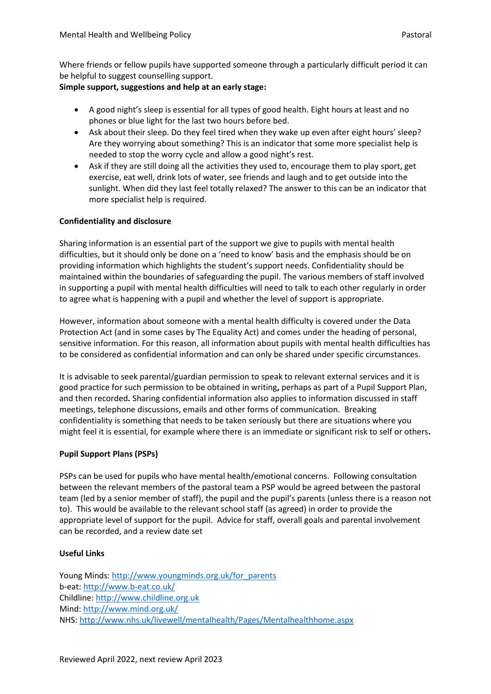Where friends or fellow pupils have supported someone through a particularly difficult period it can be helpful to suggest counselling support.

### **Simple support, suggestions and help at an early stage:**

- A good night's sleep is essential for all types of good health. Eight hours at least and no phones or blue light for the last two hours before bed.
- Ask about their sleep. Do they feel tired when they wake up even after eight hours' sleep? Are they worrying about something? This is an indicator that some more specialist help is needed to stop the worry cycle and allow a good night's rest.
- Ask if they are still doing all the activities they used to, encourage them to play sport, get exercise, eat well, drink lots of water, see friends and laugh and to get outside into the sunlight. When did they last feel totally relaxed? The answer to this can be an indicator that more specialist help is required.

### **Confidentiality and disclosure**

Sharing information is an essential part of the support we give to pupils with mental health difficulties, but it should only be done on a 'need to know' basis and the emphasis should be on providing information which highlights the student's support needs. Confidentiality should be maintained within the boundaries of safeguarding the pupil. The various members of staff involved in supporting a pupil with mental health difficulties will need to talk to each other regularly in order to agree what is happening with a pupil and whether the level of support is appropriate.

However, information about someone with a mental health difficulty is covered under the Data Protection Act (and in some cases by The Equality Act) and comes under the heading of personal, sensitive information. For this reason, all information about pupils with mental health difficulties has to be considered as confidential information and can only be shared under specific circumstances.

It is advisable to seek parental/guardian permission to speak to relevant external services and it is good practice for such permission to be obtained in writing**,** perhaps as part of a Pupil Support Plan, and then recorded**.** Sharing confidential information also applies to information discussed in staff meetings, telephone discussions, emails and other forms of communication. Breaking confidentiality is something that needs to be taken seriously but there are situations where you might feel it is essential, for example where there is an immediate or significant risk to self or others**.**

## **Pupil Support Plans (PSPs)**

PSPs can be used for pupils who have mental health/emotional concerns. Following consultation between the relevant members of the pastoral team a PSP would be agreed between the pastoral team (led by a senior member of staff), the pupil and the pupil's parents (unless there is a reason not to). This would be available to the relevant school staff (as agreed) in order to provide the appropriate level of support for the pupil. Advice for staff, overall goals and parental involvement can be recorded, and a review date set

### **Useful Links**

Young Minds[: http://www.youngminds.org.uk/for\\_parents](http://www.youngminds.org.uk/for_parents) b-eat:<http://www.b-eat.co.uk/> Childline: [http://www.childline.org.uk](http://www.childline.org.uk/) Mind:<http://www.mind.org.uk/> NHS:<http://www.nhs.uk/livewell/mentalhealth/Pages/Mentalhealthhome.aspx>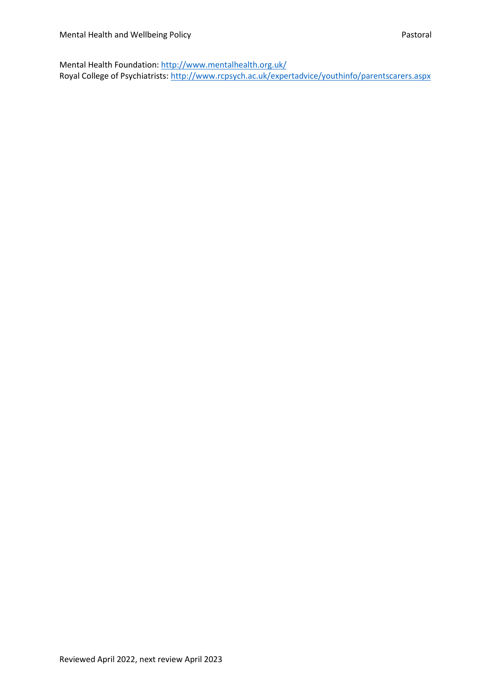Mental Health Foundation:<http://www.mentalhealth.org.uk/> Royal College of Psychiatrists:<http://www.rcpsych.ac.uk/expertadvice/youthinfo/parentscarers.aspx>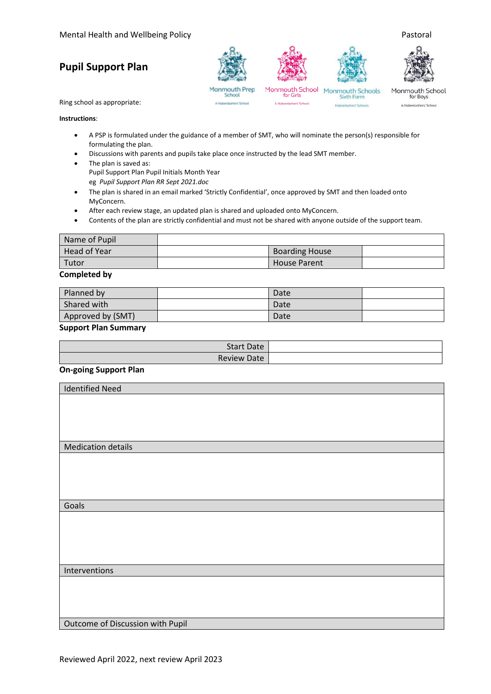# **Pupil Support Plan**









Monmouth Prep<br>School A Haberdashers' School

A Haberdashers' School

Monmouth School Monmouth Schools<br>for Girls Sixth Form Sixth Form Haberdashers' Schools

Monmouth School for Boys A Haberdashers' School

Ring school as appropriate:

### **Instructions**:

- A PSP is formulated under the guidance of a member of SMT, who will nominate the person(s) responsible for formulating the plan.
- Discussions with parents and pupils take place once instructed by the lead SMT member.
- The plan is saved as: Pupil Support Plan Pupil Initials Month Year eg *Pupil Support Plan RR Sept 2021.doc*
- The plan is shared in an email marked 'Strictly Confidential', once approved by SMT and then loaded onto MyConcern.
- After each review stage, an updated plan is shared and uploaded onto MyConcern.
- Contents of the plan are strictly confidential and must not be shared with anyone outside of the support team.

| Name of Pupil |                       |  |
|---------------|-----------------------|--|
| Head of Year  | <b>Boarding House</b> |  |
| Tutor         | <b>House Parent</b>   |  |

### **Completed by**

| Planned by        | Date |  |
|-------------------|------|--|
| Shared with       | Date |  |
| Approved by (SMT) | Date |  |

#### **Support Plan Summary**

| <b>Start Date</b> |
|-------------------|
| Review Date       |

### **On-going Support Plan**

| <b>Identified Need</b>           |
|----------------------------------|
|                                  |
|                                  |
|                                  |
|                                  |
| <b>Medication details</b>        |
|                                  |
|                                  |
|                                  |
| Goals                            |
|                                  |
|                                  |
|                                  |
|                                  |
|                                  |
| Interventions                    |
|                                  |
|                                  |
|                                  |
| Outcome of Discussion with Pupil |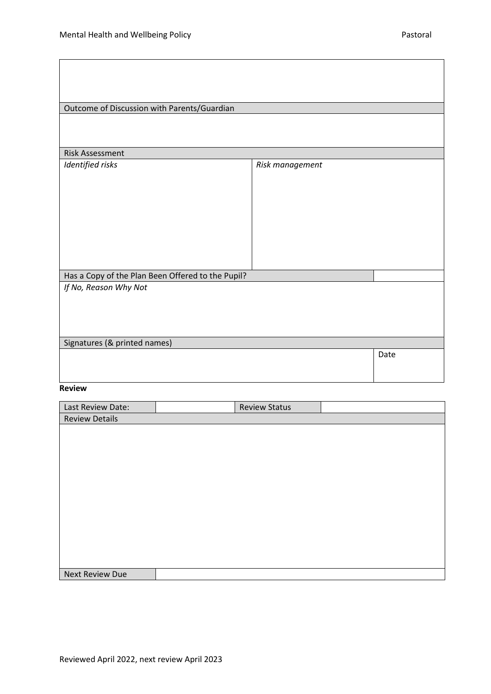| Outcome of Discussion with Parents/Guardian       |                 |      |  |  |  |
|---------------------------------------------------|-----------------|------|--|--|--|
|                                                   |                 |      |  |  |  |
|                                                   |                 |      |  |  |  |
| <b>Risk Assessment</b>                            |                 |      |  |  |  |
| Identified risks                                  | Risk management |      |  |  |  |
|                                                   |                 |      |  |  |  |
|                                                   |                 |      |  |  |  |
|                                                   |                 |      |  |  |  |
|                                                   |                 |      |  |  |  |
|                                                   |                 |      |  |  |  |
|                                                   |                 |      |  |  |  |
|                                                   |                 |      |  |  |  |
| Has a Copy of the Plan Been Offered to the Pupil? |                 |      |  |  |  |
| If No, Reason Why Not                             |                 |      |  |  |  |
|                                                   |                 |      |  |  |  |
|                                                   |                 |      |  |  |  |
|                                                   |                 |      |  |  |  |
| Signatures (& printed names)                      |                 |      |  |  |  |
|                                                   |                 | Date |  |  |  |
|                                                   |                 |      |  |  |  |
|                                                   |                 |      |  |  |  |

#### **Review**

| Last Review Date:      | <b>Review Status</b> |  |
|------------------------|----------------------|--|
| <b>Review Details</b>  |                      |  |
|                        |                      |  |
|                        |                      |  |
|                        |                      |  |
|                        |                      |  |
|                        |                      |  |
|                        |                      |  |
|                        |                      |  |
|                        |                      |  |
|                        |                      |  |
|                        |                      |  |
|                        |                      |  |
|                        |                      |  |
| <b>Next Review Due</b> |                      |  |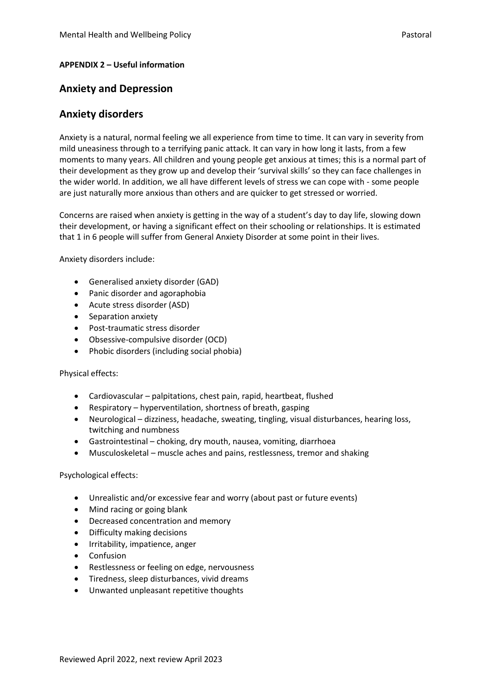### **APPENDIX 2 – Useful information**

# **Anxiety and Depression**

# **Anxiety disorders**

Anxiety is a natural, normal feeling we all experience from time to time. It can vary in severity from mild uneasiness through to a terrifying panic attack. It can vary in how long it lasts, from a few moments to many years. All children and young people get anxious at times; this is a normal part of their development as they grow up and develop their 'survival skills' so they can face challenges in the wider world. In addition, we all have different levels of stress we can cope with - some people are just naturally more anxious than others and are quicker to get stressed or worried.

Concerns are raised when anxiety is getting in the way of a student's day to day life, slowing down their development, or having a significant effect on their schooling or relationships. It is estimated that 1 in 6 people will suffer from General Anxiety Disorder at some point in their lives.

Anxiety disorders include:

- Generalised anxiety disorder (GAD)
- Panic disorder and agoraphobia
- Acute stress disorder (ASD)
- Separation anxiety
- Post-traumatic stress disorder
- Obsessive-compulsive disorder (OCD)
- Phobic disorders (including social phobia)

Physical effects:

- Cardiovascular palpitations, chest pain, rapid, heartbeat, flushed
- Respiratory hyperventilation, shortness of breath, gasping
- Neurological dizziness, headache, sweating, tingling, visual disturbances, hearing loss, twitching and numbness
- Gastrointestinal choking, dry mouth, nausea, vomiting, diarrhoea
- Musculoskeletal muscle aches and pains, restlessness, tremor and shaking

Psychological effects:

- Unrealistic and/or excessive fear and worry (about past or future events)
- Mind racing or going blank
- Decreased concentration and memory
- Difficulty making decisions
- Irritability, impatience, anger
- **Confusion**
- Restlessness or feeling on edge, nervousness
- Tiredness, sleep disturbances, vivid dreams
- Unwanted unpleasant repetitive thoughts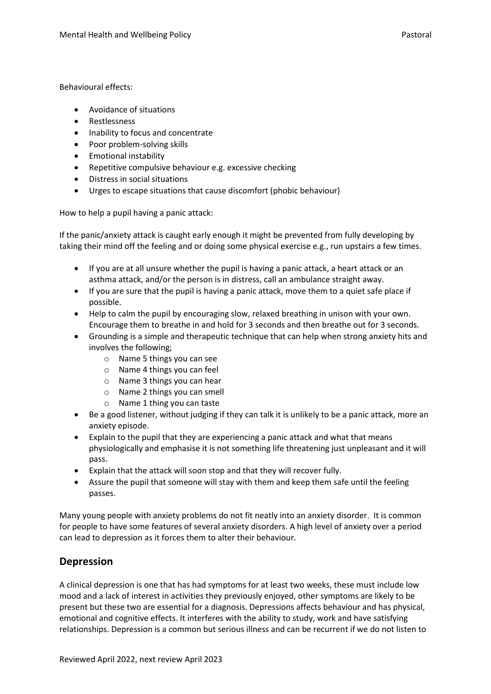Behavioural effects:

- Avoidance of situations
- Restlessness
- Inability to focus and concentrate
- Poor problem-solving skills
- Emotional instability
- Repetitive compulsive behaviour e.g. excessive checking
- Distress in social situations
- Urges to escape situations that cause discomfort (phobic behaviour)

How to help a pupil having a panic attack:

If the panic/anxiety attack is caught early enough it might be prevented from fully developing by taking their mind off the feeling and or doing some physical exercise e.g., run upstairs a few times.

- If you are at all unsure whether the pupil is having a panic attack, a heart attack or an asthma attack, and/or the person is in distress, call an ambulance straight away.
- If you are sure that the pupil is having a panic attack, move them to a quiet safe place if possible.
- Help to calm the pupil by encouraging slow, relaxed breathing in unison with your own. Encourage them to breathe in and hold for 3 seconds and then breathe out for 3 seconds.
- Grounding is a simple and therapeutic technique that can help when strong anxiety hits and involves the following;
	- o Name 5 things you can see
	- o Name 4 things you can feel
	- o Name 3 things you can hear
	- o Name 2 things you can smell
	- o Name 1 thing you can taste
- Be a good listener, without judging if they can talk it is unlikely to be a panic attack, more an anxiety episode.
- Explain to the pupil that they are experiencing a panic attack and what that means physiologically and emphasise it is not something life threatening just unpleasant and it will pass.
- Explain that the attack will soon stop and that they will recover fully.
- Assure the pupil that someone will stay with them and keep them safe until the feeling passes.

Many young people with anxiety problems do not fit neatly into an anxiety disorder. It is common for people to have some features of several anxiety disorders. A high level of anxiety over a period can lead to depression as it forces them to alter their behaviour.

# **Depression**

A clinical depression is one that has had symptoms for at least two weeks, these must include low mood and a lack of interest in activities they previously enjoyed, other symptoms are likely to be present but these two are essential for a diagnosis. Depressions affects behaviour and has physical, emotional and cognitive effects. It interferes with the ability to study, work and have satisfying relationships. Depression is a common but serious illness and can be recurrent if we do not listen to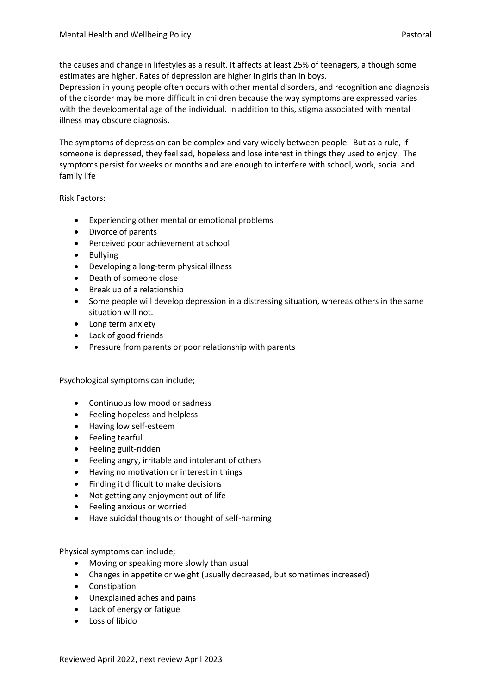the causes and change in lifestyles as a result. It affects at least 25% of teenagers, although some estimates are higher. Rates of depression are higher in girls than in boys.

Depression in young people often occurs with other mental disorders, and recognition and diagnosis of the disorder may be more difficult in children because the way symptoms are expressed varies with the developmental age of the individual. In addition to this, stigma associated with mental illness may obscure diagnosis.

The symptoms of depression can be complex and vary widely between people. But as a rule, if someone is depressed, they feel sad, hopeless and lose interest in things they used to enjoy. The symptoms persist for weeks or months and are enough to interfere with school, work, social and family life

Risk Factors:

- Experiencing other mental or emotional problems
- Divorce of parents
- Perceived poor achievement at school
- Bullying
- Developing a long-term physical illness
- Death of someone close
- Break up of a relationship
- Some people will develop depression in a distressing situation, whereas others in the same situation will not.
- Long term anxiety
- Lack of good friends
- Pressure from parents or poor relationship with parents

Psychological symptoms can include;

- Continuous low mood or sadness
- Feeling hopeless and helpless
- Having low self-esteem
- Feeling tearful
- Feeling guilt-ridden
- Feeling angry, irritable and intolerant of others
- Having no motivation or interest in things
- Finding it difficult to make decisions
- Not getting any enjoyment out of life
- Feeling anxious or worried
- Have suicidal thoughts or thought of self-harming

Physical symptoms can include;

- Moving or speaking more slowly than usual
- Changes in appetite or weight (usually decreased, but sometimes increased)
- Constipation
- Unexplained aches and pains
- Lack of energy or fatigue
- Loss of libido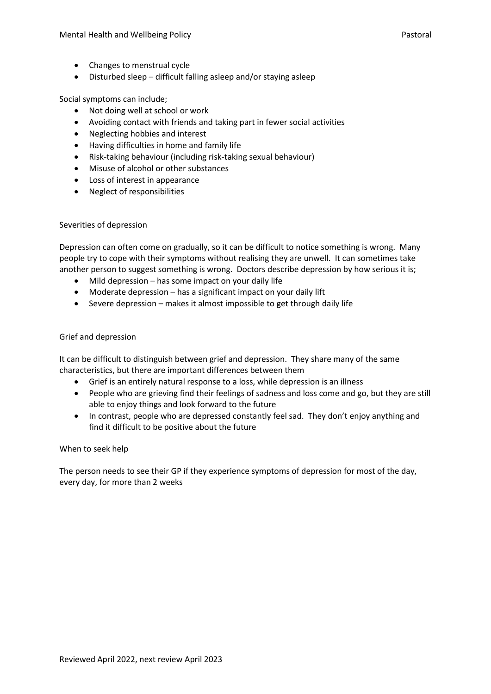- Changes to menstrual cycle
- Disturbed sleep difficult falling asleep and/or staying asleep

Social symptoms can include;

- Not doing well at school or work
- Avoiding contact with friends and taking part in fewer social activities
- Neglecting hobbies and interest
- Having difficulties in home and family life
- Risk-taking behaviour (including risk-taking sexual behaviour)
- Misuse of alcohol or other substances
- Loss of interest in appearance
- Neglect of responsibilities

### Severities of depression

Depression can often come on gradually, so it can be difficult to notice something is wrong. Many people try to cope with their symptoms without realising they are unwell. It can sometimes take another person to suggest something is wrong. Doctors describe depression by how serious it is;

- Mild depression has some impact on your daily life
- Moderate depression has a significant impact on your daily lift
- Severe depression makes it almost impossible to get through daily life

### Grief and depression

It can be difficult to distinguish between grief and depression. They share many of the same characteristics, but there are important differences between them

- Grief is an entirely natural response to a loss, while depression is an illness
- People who are grieving find their feelings of sadness and loss come and go, but they are still able to enjoy things and look forward to the future
- In contrast, people who are depressed constantly feel sad. They don't enjoy anything and find it difficult to be positive about the future

### When to seek help

The person needs to see their GP if they experience symptoms of depression for most of the day, every day, for more than 2 weeks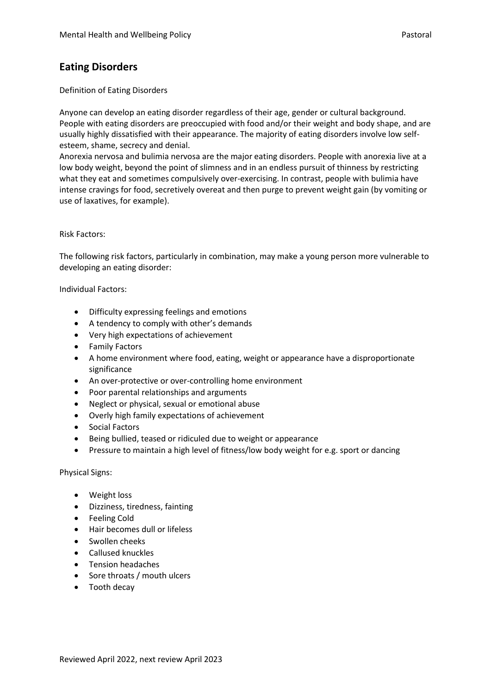# **Eating Disorders**

### Definition of Eating Disorders

Anyone can develop an eating disorder regardless of their age, gender or cultural background. People with eating disorders are preoccupied with food and/or their weight and body shape, and are usually highly dissatisfied with their appearance. The majority of eating disorders involve low selfesteem, shame, secrecy and denial.

Anorexia nervosa and bulimia nervosa are the major eating disorders. People with anorexia live at a low body weight, beyond the point of slimness and in an endless pursuit of thinness by restricting what they eat and sometimes compulsively over-exercising. In contrast, people with bulimia have intense cravings for food, secretively overeat and then purge to prevent weight gain (by vomiting or use of laxatives, for example).

### Risk Factors:

The following risk factors, particularly in combination, may make a young person more vulnerable to developing an eating disorder:

Individual Factors:

- Difficulty expressing feelings and emotions
- A tendency to comply with other's demands
- Very high expectations of achievement
- Family Factors
- A home environment where food, eating, weight or appearance have a disproportionate significance
- An over-protective or over-controlling home environment
- Poor parental relationships and arguments
- Neglect or physical, sexual or emotional abuse
- Overly high family expectations of achievement
- Social Factors
- Being bullied, teased or ridiculed due to weight or appearance
- Pressure to maintain a high level of fitness/low body weight for e.g. sport or dancing

### Physical Signs:

- Weight loss
- Dizziness, tiredness, fainting
- Feeling Cold
- Hair becomes dull or lifeless
- Swollen cheeks
- Callused knuckles
- Tension headaches
- Sore throats / mouth ulcers
- Tooth decay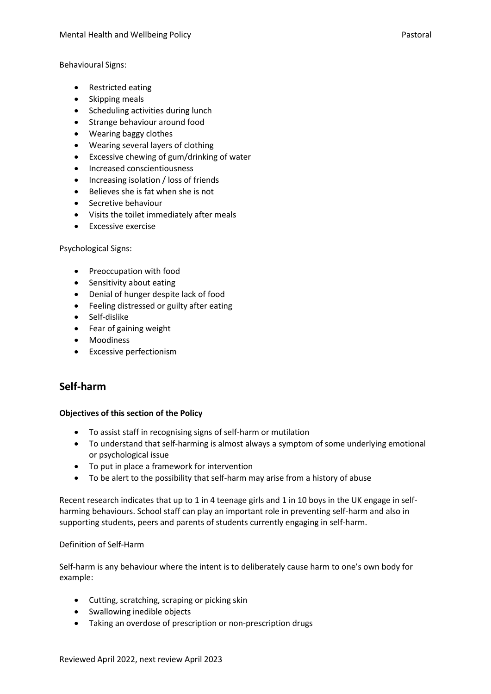Behavioural Signs:

- Restricted eating
- Skipping meals
- Scheduling activities during lunch
- Strange behaviour around food
- Wearing baggy clothes
- Wearing several layers of clothing
- Excessive chewing of gum/drinking of water
- Increased conscientiousness
- Increasing isolation / loss of friends
- Believes she is fat when she is not
- Secretive behaviour
- Visits the toilet immediately after meals
- Excessive exercise

Psychological Signs:

- Preoccupation with food
- Sensitivity about eating
- Denial of hunger despite lack of food
- Feeling distressed or guilty after eating
- Self-dislike
- Fear of gaining weight
- Moodiness
- Excessive perfectionism

# **Self-harm**

### **Objectives of this section of the Policy**

- To assist staff in recognising signs of self-harm or mutilation
- To understand that self-harming is almost always a symptom of some underlying emotional or psychological issue
- To put in place a framework for intervention
- To be alert to the possibility that self-harm may arise from a history of abuse

Recent research indicates that up to 1 in 4 teenage girls and 1 in 10 boys in the UK engage in selfharming behaviours. School staff can play an important role in preventing self-harm and also in supporting students, peers and parents of students currently engaging in self-harm.

### Definition of Self-Harm

Self-harm is any behaviour where the intent is to deliberately cause harm to one's own body for example:

- Cutting, scratching, scraping or picking skin
- Swallowing inedible objects
- Taking an overdose of prescription or non-prescription drugs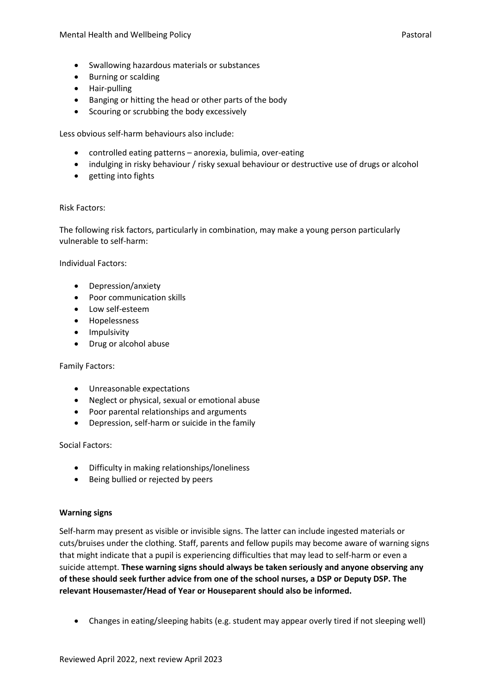- Swallowing hazardous materials or substances
- Burning or scalding
- Hair-pulling
- Banging or hitting the head or other parts of the body
- Scouring or scrubbing the body excessively

Less obvious self-harm behaviours also include:

- controlled eating patterns anorexia, bulimia, over-eating
- indulging in risky behaviour / risky sexual behaviour or destructive use of drugs or alcohol
- getting into fights

### Risk Factors:

The following risk factors, particularly in combination, may make a young person particularly vulnerable to self-harm:

Individual Factors:

- Depression/anxiety
- Poor communication skills
- Low self-esteem
- Hopelessness
- Impulsivity
- Drug or alcohol abuse

### Family Factors:

- Unreasonable expectations
- Neglect or physical, sexual or emotional abuse
- Poor parental relationships and arguments
- Depression, self-harm or suicide in the family

### Social Factors:

- Difficulty in making relationships/loneliness
- Being bullied or rejected by peers

### **Warning signs**

Self-harm may present as visible or invisible signs. The latter can include ingested materials or cuts/bruises under the clothing. Staff, parents and fellow pupils may become aware of warning signs that might indicate that a pupil is experiencing difficulties that may lead to self-harm or even a suicide attempt. **These warning signs should always be taken seriously and anyone observing any of these should seek further advice from one of the school nurses, a DSP or Deputy DSP. The relevant Housemaster/Head of Year or Houseparent should also be informed.**

• Changes in eating/sleeping habits (e.g. student may appear overly tired if not sleeping well)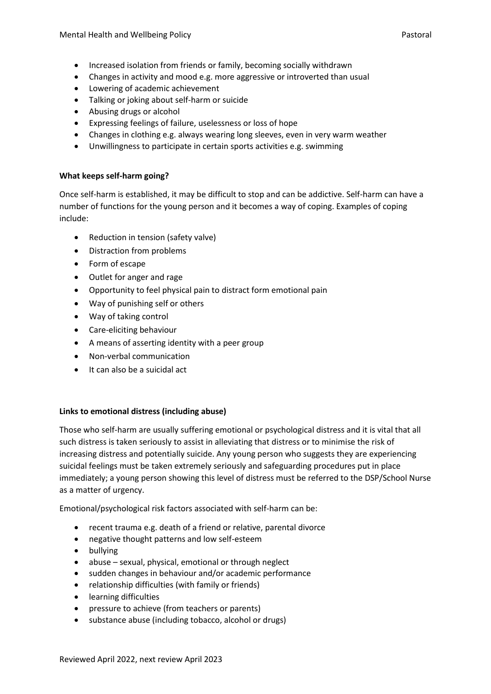- Increased isolation from friends or family, becoming socially withdrawn
- Changes in activity and mood e.g. more aggressive or introverted than usual
- Lowering of academic achievement
- Talking or joking about self-harm or suicide
- Abusing drugs or alcohol
- Expressing feelings of failure, uselessness or loss of hope
- Changes in clothing e.g. always wearing long sleeves, even in very warm weather
- Unwillingness to participate in certain sports activities e.g. swimming

### **What keeps self-harm going?**

Once self-harm is established, it may be difficult to stop and can be addictive. Self-harm can have a number of functions for the young person and it becomes a way of coping. Examples of coping include:

- Reduction in tension (safety valve)
- Distraction from problems
- Form of escape
- Outlet for anger and rage
- Opportunity to feel physical pain to distract form emotional pain
- Way of punishing self or others
- Way of taking control
- Care-eliciting behaviour
- A means of asserting identity with a peer group
- Non-verbal communication
- It can also be a suicidal act

### **Links to emotional distress (including abuse)**

Those who self-harm are usually suffering emotional or psychological distress and it is vital that all such distress is taken seriously to assist in alleviating that distress or to minimise the risk of increasing distress and potentially suicide. Any young person who suggests they are experiencing suicidal feelings must be taken extremely seriously and safeguarding procedures put in place immediately; a young person showing this level of distress must be referred to the DSP/School Nurse as a matter of urgency.

Emotional/psychological risk factors associated with self-harm can be:

- recent trauma e.g. death of a friend or relative, parental divorce
- negative thought patterns and low self-esteem
- bullying
- abuse sexual, physical, emotional or through neglect
- sudden changes in behaviour and/or academic performance
- relationship difficulties (with family or friends)
- learning difficulties
- pressure to achieve (from teachers or parents)
- substance abuse (including tobacco, alcohol or drugs)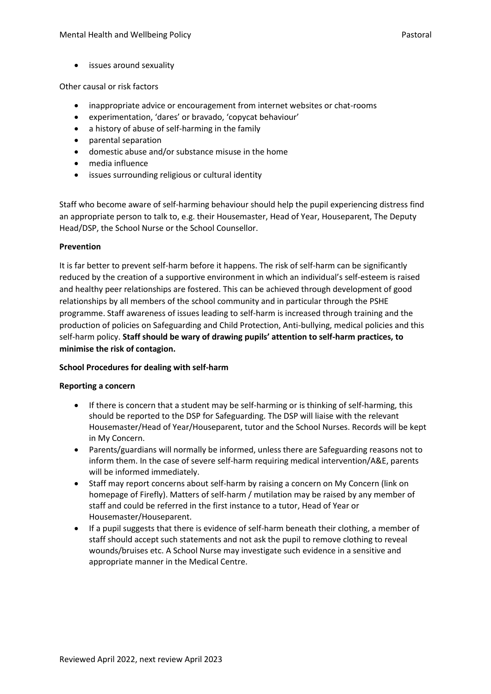• issues around sexuality

Other causal or risk factors

- inappropriate advice or encouragement from internet websites or chat-rooms
- experimentation, 'dares' or bravado, 'copycat behaviour'
- a history of abuse of self-harming in the family
- parental separation
- domestic abuse and/or substance misuse in the home
- media influence
- issues surrounding religious or cultural identity

Staff who become aware of self-harming behaviour should help the pupil experiencing distress find an appropriate person to talk to, e.g. their Housemaster, Head of Year, Houseparent, The Deputy Head/DSP, the School Nurse or the School Counsellor.

### **Prevention**

It is far better to prevent self-harm before it happens. The risk of self-harm can be significantly reduced by the creation of a supportive environment in which an individual's self-esteem is raised and healthy peer relationships are fostered. This can be achieved through development of good relationships by all members of the school community and in particular through the PSHE programme. Staff awareness of issues leading to self-harm is increased through training and the production of policies on Safeguarding and Child Protection, Anti-bullying, medical policies and this self-harm policy. **Staff should be wary of drawing pupils' attention to self-harm practices, to minimise the risk of contagion.**

### **School Procedures for dealing with self-harm**

### **Reporting a concern**

- If there is concern that a student may be self-harming or is thinking of self-harming, this should be reported to the DSP for Safeguarding. The DSP will liaise with the relevant Housemaster/Head of Year/Houseparent, tutor and the School Nurses. Records will be kept in My Concern.
- Parents/guardians will normally be informed, unless there are Safeguarding reasons not to inform them. In the case of severe self-harm requiring medical intervention/A&E, parents will be informed immediately.
- Staff may report concerns about self-harm by raising a concern on My Concern (link on homepage of Firefly). Matters of self-harm / mutilation may be raised by any member of staff and could be referred in the first instance to a tutor, Head of Year or Housemaster/Houseparent.
- If a pupil suggests that there is evidence of self-harm beneath their clothing, a member of staff should accept such statements and not ask the pupil to remove clothing to reveal wounds/bruises etc. A School Nurse may investigate such evidence in a sensitive and appropriate manner in the Medical Centre.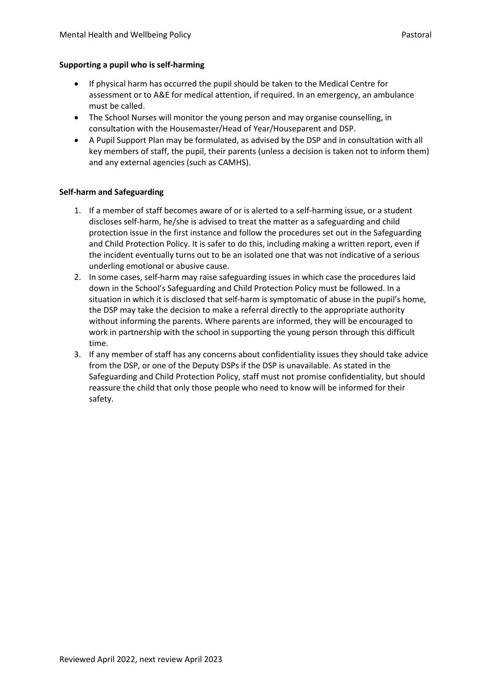### **Supporting a pupil who is self-harming**

- If physical harm has occurred the pupil should be taken to the Medical Centre for assessment or to A&E for medical attention, if required. In an emergency, an ambulance must be called.
- The School Nurses will monitor the young person and may organise counselling, in consultation with the Housemaster/Head of Year/Houseparent and DSP.
- A Pupil Support Plan may be formulated, as advised by the DSP and in consultation with all key members of staff, the pupil, their parents (unless a decision is taken not to inform them) and any external agencies (such as CAMHS).

### **Self-harm and Safeguarding**

- 1. If a member of staff becomes aware of or is alerted to a self-harming issue, or a student discloses self-harm, he/she is advised to treat the matter as a safeguarding and child protection issue in the first instance and follow the procedures set out in the Safeguarding and Child Protection Policy. It is safer to do this, including making a written report, even if the incident eventually turns out to be an isolated one that was not indicative of a serious underling emotional or abusive cause.
- 2. In some cases, self-harm may raise safeguarding issues in which case the procedures laid down in the School's Safeguarding and Child Protection Policy must be followed. In a situation in which it is disclosed that self-harm is symptomatic of abuse in the pupil's home, the DSP may take the decision to make a referral directly to the appropriate authority without informing the parents. Where parents are informed, they will be encouraged to work in partnership with the school in supporting the young person through this difficult time.
- 3. If any member of staff has any concerns about confidentiality issues they should take advice from the DSP, or one of the Deputy DSPs if the DSP is unavailable. As stated in the Safeguarding and Child Protection Policy, staff must not promise confidentiality, but should reassure the child that only those people who need to know will be informed for their safety.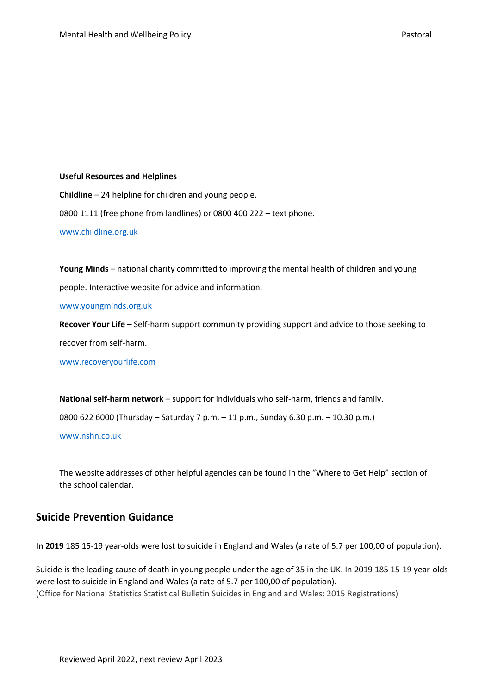### **Useful Resources and Helplines**

**Childline** – 24 helpline for children and young people. 0800 1111 (free phone from landlines) or 0800 400 222 – text phone. [www.childline.org.uk](http://www.childline.org.uk/)

**Young Minds** – national charity committed to improving the mental health of children and young people. Interactive website for advice and information.

[www.youngminds.org.uk](http://www.youngminds.org.uk/)

**Recover Your Life** – Self-harm support community providing support and advice to those seeking to recover from self-harm.

[www.recoveryourlife.com](http://www.recoveryourlife.com/)

**National self-harm network** – support for individuals who self-harm, friends and family.

0800 622 6000 (Thursday – Saturday 7 p.m. – 11 p.m., Sunday 6.30 p.m. – 10.30 p.m.)

[www.nshn.co.uk](http://www.nshn.co.uk/)

The website addresses of other helpful agencies can be found in the "Where to Get Help" section of the school calendar.

## **Suicide Prevention Guidance**

**In 2019** 185 15-19 year-olds were lost to suicide in England and Wales (a rate of 5.7 per 100,00 of population).

Suicide is the leading cause of death in young people under the age of 35 in the UK. In 2019 185 15-19 year-olds were lost to suicide in England and Wales (a rate of 5.7 per 100,00 of population). (Office for National Statistics Statistical Bulletin Suicides in England and Wales: 2015 Registrations)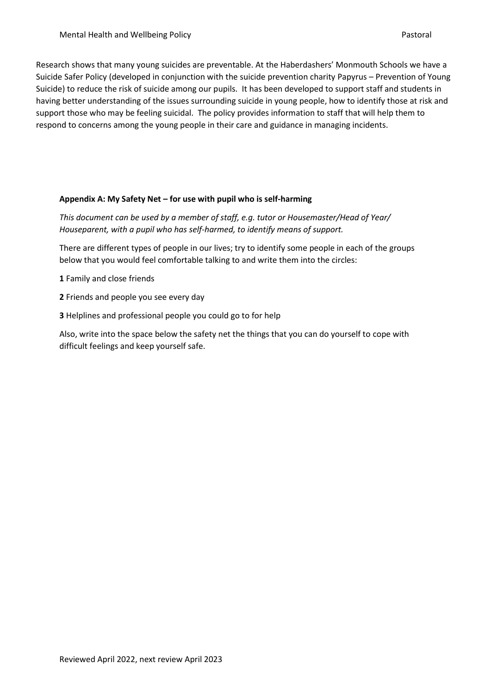Research shows that many young suicides are preventable. At the Haberdashers' Monmouth Schools we have a Suicide Safer Policy (developed in conjunction with the suicide prevention charity Papyrus – Prevention of Young Suicide) to reduce the risk of suicide among our pupils. It has been developed to support staff and students in having better understanding of the issues surrounding suicide in young people, how to identify those at risk and support those who may be feeling suicidal. The policy provides information to staff that will help them to respond to concerns among the young people in their care and guidance in managing incidents.

### **Appendix A: My Safety Net – for use with pupil who is self-harming**

*This document can be used by a member of staff, e.g. tutor or Housemaster/Head of Year/ Houseparent, with a pupil who has self-harmed, to identify means of support.*

There are different types of people in our lives; try to identify some people in each of the groups below that you would feel comfortable talking to and write them into the circles:

**1** Family and close friends

- **2** Friends and people you see every day
- **3** Helplines and professional people you could go to for help

Also, write into the space below the safety net the things that you can do yourself to cope with difficult feelings and keep yourself safe.